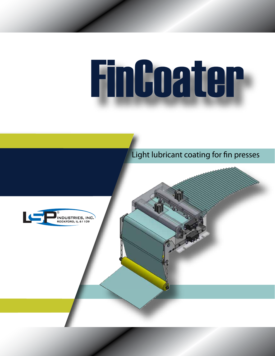# Findoater



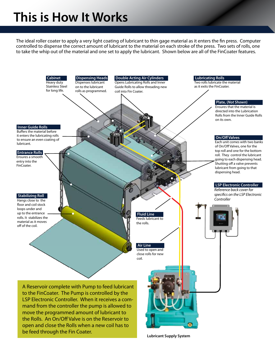## **This is How It Works**

The ideal roller coater to apply a very light coating of lubricant to thin gage material as it enters the fin press. Computer controlled to dispense the correct amount of lubricant to the material on each stroke of the press. Two sets of rolls, one to take the whip out of the material and one set to apply the lubricant. Shown below are all of the FinCoater features.



**Lubricant Supply System**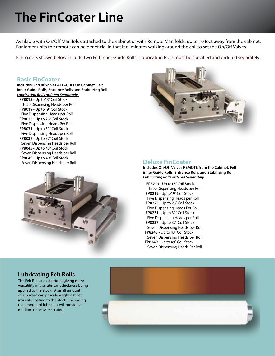## **The FinCoater Line**

Available with On/Off Manifolds attached to the cabinet or with Remote Manifolds, up to 10 feet away from the cabinet. For larger units the remote can be beneficial in that it eliminates walking around the coil to set the On/Off Valves.

FinCoaters shown below include two Felt Inner Guide Rolls. Lubricating Rolls must be specified and ordered separately.

#### **Basic FinCoater**

**Includes On/Off Valves ATTACHED to Cabinet, Felt inner Guide Rolls, Entrance Rolls and Stabilizing Roll.** *Lubricating Rolls ordered Separately.*

 **FP8013** - Up to13" Coil Stock Three Dispensing Heads per Roll **FP8019** - Up to19" Coil Stock Five Dispensing Heads per Roll **FP8025** - Up to 25" Coil Stock Five Dispensing Heads Per Roll **FP8031** - Up to 31" Coil Stock Five Dispensing Heads per Roll **FP8037** - Up to 37" Coil Stock Seven Dispensing Heads per Roll **FP8043** - Up to 43" Coil Stock Seven Dispensing Heads per Roll **FP8049** - Up to 49" Coil Stock Seven Dispensing Heads per Roll **Deluxe FinCoater** 





**Includes On/Off Valves REMOTE from the Cabinet, Felt inner Guide Rolls, Entrance Rolls and Stabilizing Roll.** *Lubricating Rolls ordered Separately.*

 **FP8213** - Up to13" Coil Stock Three Dispensing Heads per Roll **FP8219** - Up to19" Coil Stock Five Dispensing Heads per Roll **FP8225** - Up to 25" Coil Stock Five Dispensing Heads Per Roll **FP8231** - Up to 31" Coil Stock Five Dispensing Heads per Roll **FP8237** - Up to 37" Coil Stock Seven Dispensing Heads per Roll **FP8243** - Up to 43" Coil Stock Seven Dispensing Heads per Roll **FP8249** - Up to 49" Coil Stock Seven Dispensing Heads Per Roll

### **Lubricating Felt Rolls**

The Felt Roll are absorbent giving more versatility in the lubricant thickness being applied to the stock. A small amount of lubricant can provide a light almost invisible coating to the stock. Increasing the amount of lubricant will provide a medium or heavier coating.